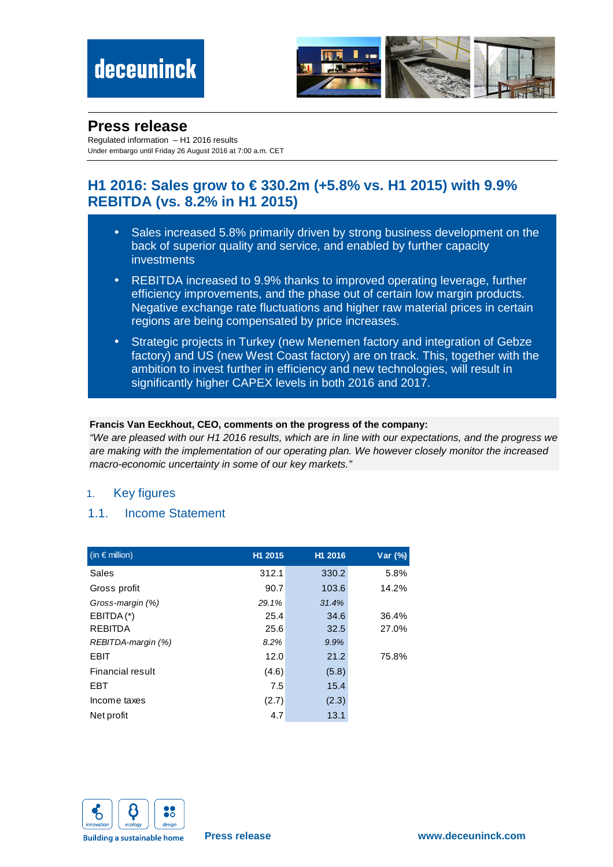

## **Press release**

Regulated information – H1 2016 results Under embargo until Friday 26 August 2016 at 7:00 a.m. CET

## **H1 2016: Sales grow to € 330.2m (+5.8% vs. H1 2015) with 9.9% REBITDA (vs. 8.2% in H1 2015)**

- Sales increased 5.8% primarily driven by strong business development on the back of superior quality and service, and enabled by further capacity investments
- REBITDA increased to 9.9% thanks to improved operating leverage, further efficiency improvements, and the phase out of certain low margin products. Negative exchange rate fluctuations and higher raw material prices in certain regions are being compensated by price increases.
- Strategic projects in Turkey (new Menemen factory and integration of Gebze factory) and US (new West Coast factory) are on track. This, together with the ambition to invest further in efficiency and new technologies, will result in significantly higher CAPEX levels in both 2016 and 2017.

### **Francis Van Eeckhout, CEO, comments on the progress of the company:**

"We are pleased with our H1 2016 results, which are in line with our expectations, and the progress we are making with the implementation of our operating plan. We however closely monitor the increased macro-economic uncertainty in some of our key markets."

### 1. Key figures

### 1.1. Income Statement

| $($ in $\epsilon$ million) | H1 2015 | H1 2016 | Var (%) |
|----------------------------|---------|---------|---------|
| Sales                      | 312.1   | 330.2   | 5.8%    |
| Gross profit               | 90.7    | 103.6   | 14.2%   |
| Gross-margin (%)           | 29.1%   | 31.4%   |         |
| $EBITDA(*)$                | 25.4    | 34.6    | 36.4%   |
| <b>REBITDA</b>             | 25.6    | 32.5    | 27.0%   |
| REBITDA-margin (%)         | 8.2%    | 9.9%    |         |
| <b>EBIT</b>                | 12.0    | 21.2    | 75.8%   |
| Financial result           | (4.6)   | (5.8)   |         |
| <b>EBT</b>                 | 7.5     | 15.4    |         |
| Income taxes               | (2.7)   | (2.3)   |         |
| Net profit                 | 4.7     | 13.1    |         |

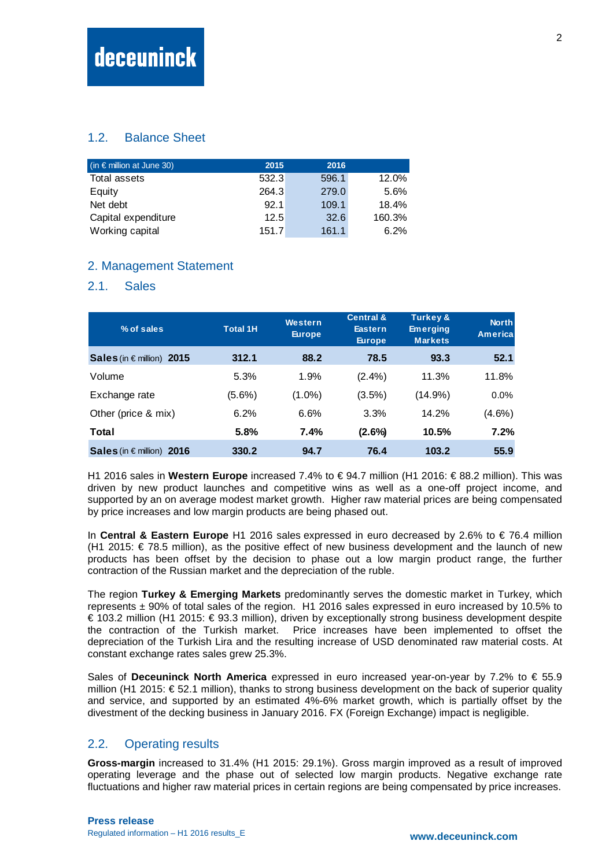### 1.2. Balance Sheet

| $($ in € million at June 30) | 2015  | 2016  |        |
|------------------------------|-------|-------|--------|
| Total assets                 | 532.3 | 596.1 | 12.0%  |
| Equity                       | 264.3 | 279.0 | 5.6%   |
| Net debt                     | 92.1  | 109.1 | 18.4%  |
| Capital expenditure          | 12.5  | 32.6  | 160.3% |
| Working capital              | 151.7 | 161.1 | 6.2%   |

### 2. Management Statement

### 2.1. Sales

| % of sales                         | <b>Total 1H</b> | Western<br><b>Europe</b> | <b>Central &amp;</b><br><b>Eastern</b><br><b>Europe</b> | <b>Turkey &amp;</b><br><b>Emerging</b><br><b>Markets</b> | <b>North</b><br><b>America</b> |
|------------------------------------|-----------------|--------------------------|---------------------------------------------------------|----------------------------------------------------------|--------------------------------|
| Sales (in $\epsilon$ million) 2015 | 312.1           | 88.2                     | 78.5                                                    | 93.3                                                     | 52.1                           |
| Volume                             | 5.3%            | 1.9%                     | $(2.4\%)$                                               | 11.3%                                                    | 11.8%                          |
| Exchange rate                      | $(5.6\%)$       | $(1.0\%)$                | $(3.5\%)$                                               | $(14.9\%)$                                               | 0.0%                           |
| Other (price & mix)                | 6.2%            | 6.6%                     | 3.3%                                                    | 14.2%                                                    | $(4.6\%)$                      |
| Total                              | 5.8%            | 7.4%                     | $(2.6\%)$                                               | 10.5%                                                    | 7.2%                           |
| Sales (in $\epsilon$ million) 2016 | 330.2           | 94.7                     | 76.4                                                    | 103.2                                                    | 55.9                           |

H1 2016 sales in **Western Europe** increased 7.4% to € 94.7 million (H1 2016: € 88.2 million). This was driven by new product launches and competitive wins as well as a one-off project income, and supported by an on average modest market growth. Higher raw material prices are being compensated by price increases and low margin products are being phased out.

In **Central & Eastern Europe** H1 2016 sales expressed in euro decreased by 2.6% to € 76.4 million (H1 2015: € 78.5 million), as the positive effect of new business development and the launch of new products has been offset by the decision to phase out a low margin product range, the further contraction of the Russian market and the depreciation of the ruble.

The region **Turkey & Emerging Markets** predominantly serves the domestic market in Turkey, which represents ± 90% of total sales of the region. H1 2016 sales expressed in euro increased by 10.5% to € 103.2 million (H1 2015: € 93.3 million), driven by exceptionally strong business development despite the contraction of the Turkish market. Price increases have been implemented to offset the depreciation of the Turkish Lira and the resulting increase of USD denominated raw material costs. At constant exchange rates sales grew 25.3%.

Sales of **Deceuninck North America** expressed in euro increased year-on-year by 7.2% to € 55.9 million (H1 2015: € 52.1 million), thanks to strong business development on the back of superior quality and service, and supported by an estimated 4%-6% market growth, which is partially offset by the divestment of the decking business in January 2016. FX (Foreign Exchange) impact is negligible.

### 2.2. Operating results

**Gross-margin** increased to 31.4% (H1 2015: 29.1%). Gross margin improved as a result of improved operating leverage and the phase out of selected low margin products. Negative exchange rate fluctuations and higher raw material prices in certain regions are being compensated by price increases.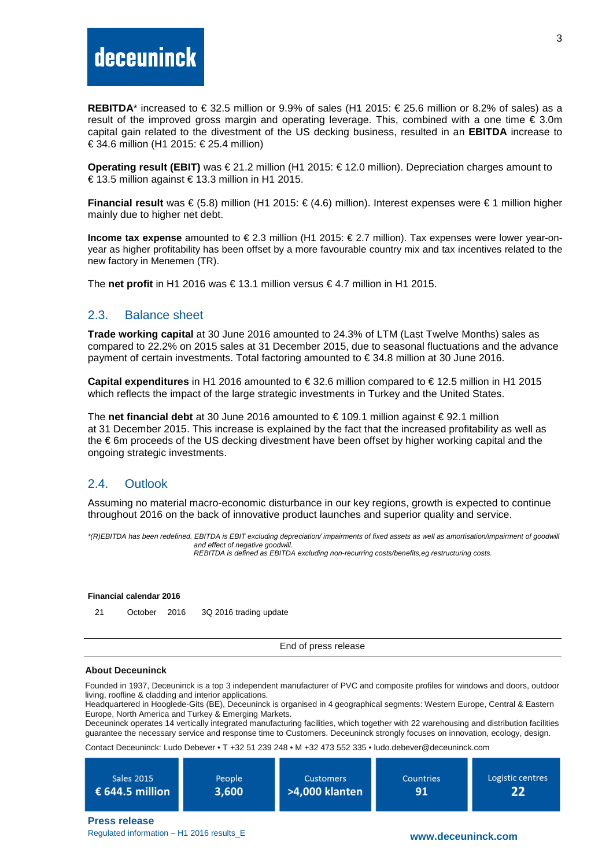# deceuninck

REBITDA<sup>\*</sup> increased to € 32.5 million or 9.9% of sales (H1 2015: € 25.6 million or 8.2% of sales) as a result of the improved gross margin and operating leverage. This, combined with a one time  $\epsilon$  3.0m capital gain related to the divestment of the US decking business, resulted in an **EBITDA** increase to € 34.6 million (H1 2015: € 25.4 million)

**Operating result (EBIT)** was € 21.2 million (H1 2015: € 12.0 million). Depreciation charges amount to € 13.5 million against € 13.3 million in H1 2015.

**Financial result** was € (5.8) million (H1 2015: € (4.6) million). Interest expenses were € 1 million higher mainly due to higher net debt.

**Income tax expense** amounted to € 2.3 million (H1 2015: € 2.7 million). Tax expenses were lower year-onyear as higher profitability has been offset by a more favourable country mix and tax incentives related to the new factory in Menemen (TR).

The **net profit** in H1 2016 was € 13.1 million versus € 4.7 million in H1 2015.

### 2.3. Balance sheet

**Trade working capital** at 30 June 2016 amounted to 24.3% of LTM (Last Twelve Months) sales as compared to 22.2% on 2015 sales at 31 December 2015, due to seasonal fluctuations and the advance payment of certain investments. Total factoring amounted to € 34.8 million at 30 June 2016.

**Capital expenditures** in H1 2016 amounted to € 32.6 million compared to € 12.5 million in H1 2015 which reflects the impact of the large strategic investments in Turkey and the United States.

The **net financial debt** at 30 June 2016 amounted to € 109.1 million against € 92.1 million at 31 December 2015. This increase is explained by the fact that the increased profitability as well as the € 6m proceeds of the US decking divestment have been offset by higher working capital and the ongoing strategic investments.

### 2.4. Outlook

Assuming no material macro-economic disturbance in our key regions, growth is expected to continue throughout 2016 on the back of innovative product launches and superior quality and service.

\*(R)EBITDA has been redefined. EBITDA is EBIT excluding depreciation/ impairments of fixed assets as well as amortisation/impairment of goodwill and effect of negative goodwill. REBITDA is defined as EBITDA excluding non-recurring costs/benefits,eg restructuring costs.

#### **Financial calendar 2016**

21 October 2016 3Q 2016 trading update

End of press release

### **About Deceuninck**

Founded in 1937, Deceuninck is a top 3 independent manufacturer of PVC and composite profiles for windows and doors, outdoor living, roofline & cladding and interior applications.

Headquartered in Hooglede-Gits (BE), Deceuninck is organised in 4 geographical segments: Western Europe, Central & Eastern Europe, North America and Turkey & Emerging Markets.

Deceuninck operates 14 vertically integrated manufacturing facilities, which together with 22 warehousing and distribution facilities guarantee the necessary service and response time to Customers. Deceuninck strongly focuses on innovation, ecology, design.

Contact Deceuninck: Ludo Debever • T +32 51 239 248 • M +32 473 552 335 • ludo.debever@deceuninck.com

| <b>Sales 2015</b>        | People | <b>Customers</b> | Countries | Logistic centres |
|--------------------------|--------|------------------|-----------|------------------|
| $\epsilon$ 644.5 million | 3,600  | >4,000 klanten   | 91        | 22               |
|                          |        |                  |           |                  |

**Press release**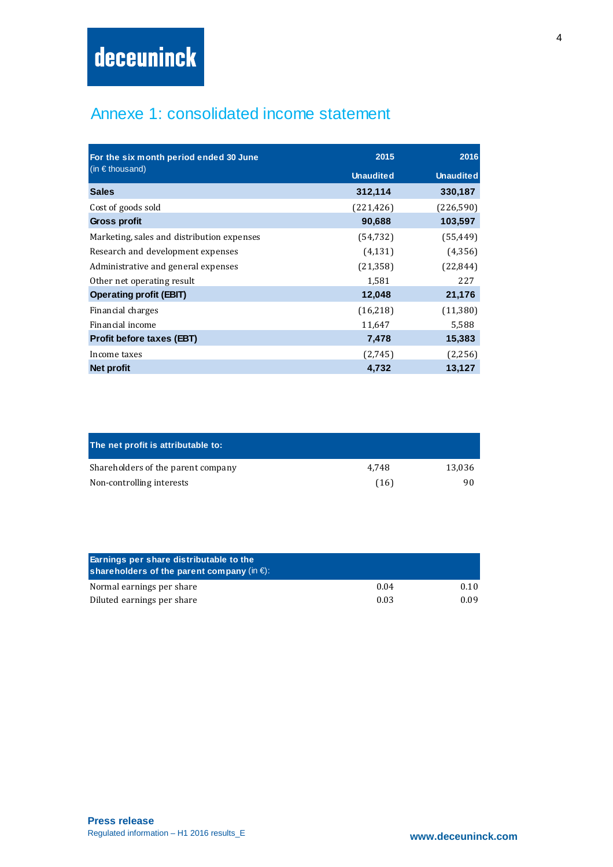## Annexe 1: consolidated income statement

| For the six month period ended 30 June     | 2015             | 2016             |
|--------------------------------------------|------------------|------------------|
| (in $\epsilon$ thousand)                   | <b>Unaudited</b> | <b>Unaudited</b> |
| <b>Sales</b>                               | 312,114          | 330,187          |
| Cost of goods sold                         | (221, 426)       | (226, 590)       |
| <b>Gross profit</b>                        | 90,688           | 103,597          |
| Marketing, sales and distribution expenses | (54, 732)        | (55, 449)        |
| Research and development expenses          | (4, 131)         | (4,356)          |
| Administrative and general expenses        | (21, 358)        | (22, 844)        |
| Other net operating result                 | 1,581            | 227              |
| <b>Operating profit (EBIT)</b>             | 12,048           | 21,176           |
| Financial charges                          | (16,218)         | (11,380)         |
| Financial income                           | 11,647           | 5,588            |
| <b>Profit before taxes (EBT)</b>           | 7,478            | 15,383           |
| Income taxes                               | (2,745)          | (2,256)          |
| Net profit                                 | 4,732            | 13,127           |

| The net profit is attributable to: |       |        |
|------------------------------------|-------|--------|
| Shareholders of the parent company | 4.748 | 13.036 |
| Non-controlling interests          | (16)  | 90     |

| Earnings per share distributable to the<br>shareholders of the parent company (in $\epsilon$ ): |      |      |
|-------------------------------------------------------------------------------------------------|------|------|
| Normal earnings per share                                                                       | 0.04 | 0.10 |
| Diluted earnings per share                                                                      | 0.03 | 0.09 |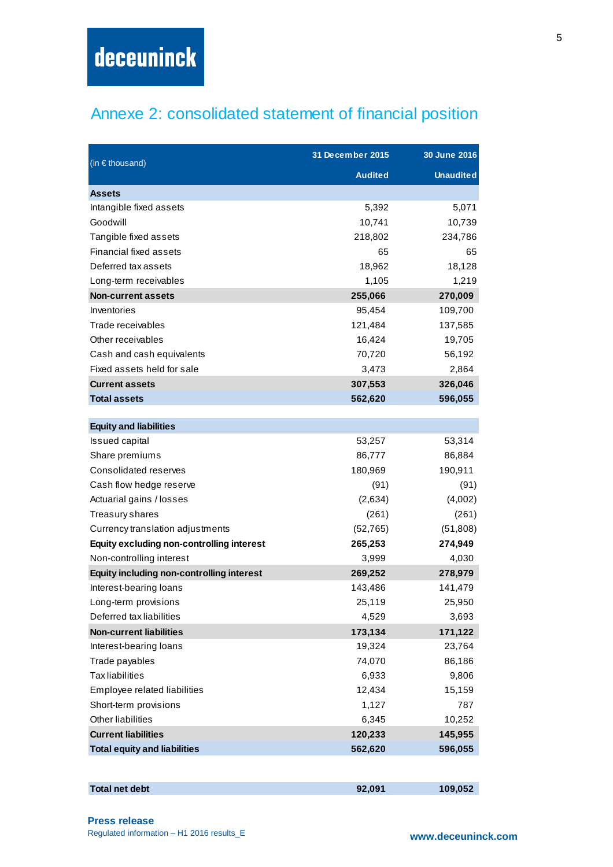# Annexe 2: consolidated statement of financial position

| (in $\epsilon$ thousand)                         | 31 December 2015 | 30 June 2016     |
|--------------------------------------------------|------------------|------------------|
|                                                  | <b>Audited</b>   | <b>Unaudited</b> |
| <b>Assets</b>                                    |                  |                  |
| Intangible fixed assets                          | 5,392            | 5,071            |
| Goodwill                                         | 10,741           | 10,739           |
| Tangible fixed assets                            | 218,802          | 234,786          |
| <b>Financial fixed assets</b>                    | 65               | 65               |
| Deferred tax assets                              | 18,962           | 18,128           |
| Long-term receivables                            | 1,105            | 1,219            |
| <b>Non-current assets</b>                        | 255,066          | 270,009          |
| Inventories                                      | 95,454           | 109,700          |
| Trade receivables                                | 121,484          | 137,585          |
| Other receivables                                | 16,424           | 19,705           |
| Cash and cash equivalents                        | 70,720           | 56,192           |
| Fixed assets held for sale                       | 3,473            | 2,864            |
| <b>Current assets</b>                            | 307,553          | 326,046          |
| <b>Total assets</b>                              | 562,620          | 596,055          |
| <b>Equity and liabilities</b>                    |                  |                  |
| Issued capital                                   | 53,257           | 53,314           |
| Share premiums                                   | 86,777           | 86,884           |
| Consolidated reserves                            | 180,969          | 190,911          |
| Cash flow hedge reserve                          | (91)             | (91)             |
| Actuarial gains / losses                         | (2,634)          | (4,002)          |
| Treasury shares                                  | (261)            | (261)            |
| Currency translation adjustments                 | (52, 765)        | (51,808)         |
| <b>Equity excluding non-controlling interest</b> | 265,253          | 274,949          |
| Non-controlling interest                         | 3,999            | 4,030            |
| <b>Equity including non-controlling interest</b> | 269,252          | 278,979          |
| Interest-bearing loans                           | 143,486          | 141,479          |
| Long-term provisions                             | 25,119           | 25,950           |
| Deferred tax liabilities                         | 4,529            | 3,693            |
| <b>Non-current liabilities</b>                   | 173,134          | 171,122          |
| Interest-bearing loans                           | 19,324           | 23,764           |
| Trade payables                                   | 74,070           | 86,186           |
| <b>Tax liabilities</b>                           | 6,933            | 9,806            |
| Employee related liabilities                     | 12,434           | 15,159           |
| Short-term provisions                            | 1,127            | 787              |
| <b>Other liabilities</b>                         | 6,345            | 10,252           |
| <b>Current liabilities</b>                       | 120,233          | 145,955          |
| <b>Total equity and liabilities</b>              | 562,620          | 596,055          |
|                                                  |                  |                  |

| <b>Total net debt</b> | 92,091 | 109,052 |
|-----------------------|--------|---------|
|                       |        |         |